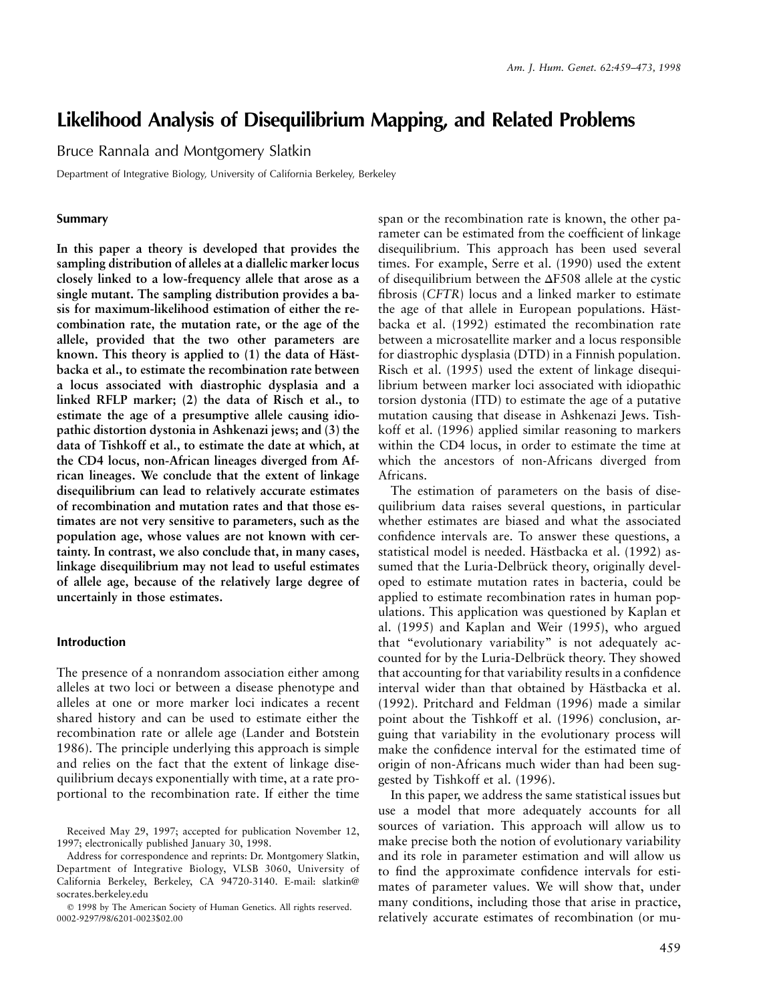# **Likelihood Analysis of Disequilibrium Mapping, and Related Problems**

Bruce Rannala and Montgomery Slatkin

Department of Integrative Biology, University of California Berkeley, Berkeley

## **Summary**

**In this paper a theory is developed that provides the sampling distribution of alleles at a diallelic marker locus closely linked to a low-frequency allele that arose as a single mutant. The sampling distribution provides a basis for maximum-likelihood estimation of either the recombination rate, the mutation rate, or the age of the allele, provided that the two other parameters are** known. This theory is applied to (1) the data of Häst**backa et al., to estimate the recombination rate between a locus associated with diastrophic dysplasia and a linked RFLP marker; (2) the data of Risch et al., to estimate the age of a presumptive allele causing idiopathic distortion dystonia in Ashkenazi jews; and (3) the data of Tishkoff et al., to estimate the date at which, at the CD4 locus, non-African lineages diverged from African lineages. We conclude that the extent of linkage disequilibrium can lead to relatively accurate estimates of recombination and mutation rates and that those estimates are not very sensitive to parameters, such as the population age, whose values are not known with certainty. In contrast, we also conclude that, in many cases, linkage disequilibrium may not lead to useful estimates of allele age, because of the relatively large degree of uncertainly in those estimates.**

## **Introduction**

The presence of a nonrandom association either among alleles at two loci or between a disease phenotype and alleles at one or more marker loci indicates a recent shared history and can be used to estimate either the recombination rate or allele age (Lander and Botstein 1986). The principle underlying this approach is simple and relies on the fact that the extent of linkage disequilibrium decays exponentially with time, at a rate proportional to the recombination rate. If either the time span or the recombination rate is known, the other parameter can be estimated from the coefficient of linkage disequilibrium. This approach has been used several times. For example, Serre et al. (1990) used the extent of disequilibrium between the  $\Delta$ F508 allele at the cystic fibrosis (*CFTR*) locus and a linked marker to estimate the age of that allele in European populations. Hästbacka et al. (1992) estimated the recombination rate between a microsatellite marker and a locus responsible for diastrophic dysplasia (DTD) in a Finnish population. Risch et al. (1995) used the extent of linkage disequilibrium between marker loci associated with idiopathic torsion dystonia (ITD) to estimate the age of a putative mutation causing that disease in Ashkenazi Jews. Tishkoff et al. (1996) applied similar reasoning to markers within the CD4 locus, in order to estimate the time at which the ancestors of non-Africans diverged from Africans.

The estimation of parameters on the basis of disequilibrium data raises several questions, in particular whether estimates are biased and what the associated confidence intervals are. To answer these questions, a statistical model is needed. Hästbacka et al. (1992) assumed that the Luria-Delbrück theory, originally developed to estimate mutation rates in bacteria, could be applied to estimate recombination rates in human populations. This application was questioned by Kaplan et al. (1995) and Kaplan and Weir (1995), who argued that "evolutionary variability" is not adequately accounted for by the Luria-Delbrück theory. They showed that accounting for that variability results in a confidence interval wider than that obtained by Hästbacka et al. (1992). Pritchard and Feldman (1996) made a similar point about the Tishkoff et al. (1996) conclusion, arguing that variability in the evolutionary process will make the confidence interval for the estimated time of origin of non-Africans much wider than had been suggested by Tishkoff et al. (1996).

In this paper, we address the same statistical issues but use a model that more adequately accounts for all sources of variation. This approach will allow us to make precise both the notion of evolutionary variability and its role in parameter estimation and will allow us to find the approximate confidence intervals for estimates of parameter values. We will show that, under many conditions, including those that arise in practice, relatively accurate estimates of recombination (or mu-

Received May 29, 1997; accepted for publication November 12, 1997; electronically published January 30, 1998.

Address for correspondence and reprints: Dr. Montgomery Slatkin, Department of Integrative Biology, VLSB 3060, University of California Berkeley, Berkeley, CA 94720-3140. E-mail: slatkin@ socrates.berkeley.edu

 $©$  1998 by The American Society of Human Genetics. All rights reserved. 0002-9297/98/6201-0023\$02.00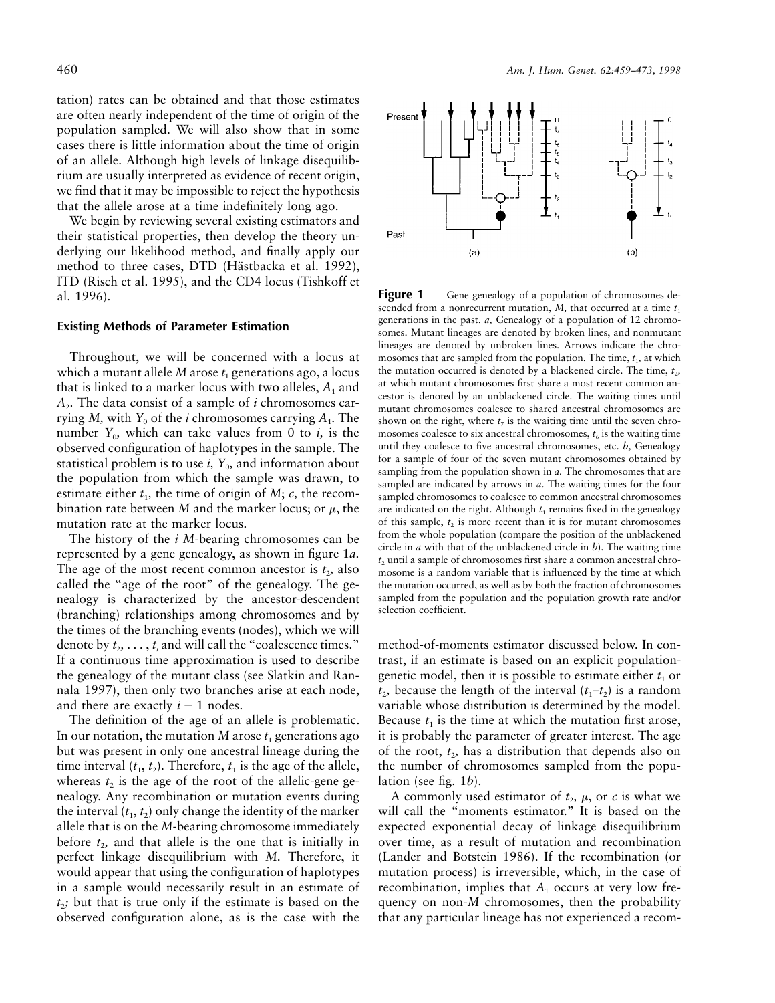tation) rates can be obtained and that those estimates are often nearly independent of the time of origin of the population sampled. We will also show that in some cases there is little information about the time of origin of an allele. Although high levels of linkage disequilibrium are usually interpreted as evidence of recent origin, we find that it may be impossible to reject the hypothesis that the allele arose at a time indefinitely long ago.

We begin by reviewing several existing estimators and their statistical properties, then develop the theory underlying our likelihood method, and finally apply our method to three cases, DTD (Hästbacka et al. 1992), ITD (Risch et al. 1995), and the CD4 locus (Tishkoff et al. 1996).

## **Existing Methods of Parameter Estimation**

Throughout, we will be concerned with a locus at which a mutant allele  $M$  arose  $t_1$  generations ago, a locus that is linked to a marker locus with two alleles,  $A_1$  and *A*2*.* The data consist of a sample of *i* chromosomes carrying *M*, with  $Y_0$  of the *i* chromosomes carrying  $A_1$ . The number  $Y_0$ , which can take values from 0 to *i*, is the observed configuration of haplotypes in the sample. The statistical problem is to use  $i$ ,  $Y_0$ , and information about the population from which the sample was drawn, to estimate either  $t_1$ , the time of origin of  $M$ ;  $c$ , the recombination rate between  $M$  and the marker locus; or  $\mu$ , the mutation rate at the marker locus.

The history of the *i M*-bearing chromosomes can be represented by a gene genealogy, as shown in figure 1*a.* The age of the most recent common ancestor is  $t_2$ , also called the "age of the root" of the genealogy. The genealogy is characterized by the ancestor-descendent (branching) relationships among chromosomes and by the times of the branching events (nodes), which we will denote by  $t_2, \ldots, t_i$  and will call the "coalescence times." If a continuous time approximation is used to describe the genealogy of the mutant class (see Slatkin and Rannala 1997), then only two branches arise at each node, and there are exactly  $i - 1$  nodes.

The definition of the age of an allele is problematic. In our notation, the mutation  $M$  arose  $t_1$  generations ago but was present in only one ancestral lineage during the time interval  $(t_1, t_2)$ . Therefore,  $t_1$  is the age of the allele, whereas  $t_2$  is the age of the root of the allelic-gene genealogy. Any recombination or mutation events during the interval  $(t_1, t_2)$  only change the identity of the marker allele that is on the *M*-bearing chromosome immediately before  $t_2$ , and that allele is the one that is initially in perfect linkage disequilibrium with *M.* Therefore, it would appear that using the configuration of haplotypes in a sample would necessarily result in an estimate of *t*2*;* but that is true only if the estimate is based on the observed configuration alone, as is the case with the



**Figure 1** Gene genealogy of a population of chromosomes descended from a nonrecurrent mutation,  $M$ , that occurred at a time  $t_1$ generations in the past. *a,* Genealogy of a population of 12 chromosomes. Mutant lineages are denoted by broken lines, and nonmutant lineages are denoted by unbroken lines. Arrows indicate the chromosomes that are sampled from the population. The time,  $t_1$ , at which the mutation occurred is denoted by a blackened circle. The time,  $t_2$ , at which mutant chromosomes first share a most recent common ancestor is denoted by an unblackened circle. The waiting times until mutant chromosomes coalesce to shared ancestral chromosomes are shown on the right, where  $t_7$  is the waiting time until the seven chromosomes coalesce to six ancestral chromosomes,  $t<sub>6</sub>$  is the waiting time until they coalesce to five ancestral chromosomes, etc. *b,* Genealogy for a sample of four of the seven mutant chromosomes obtained by sampling from the population shown in *a.* The chromosomes that are sampled are indicated by arrows in *a.* The waiting times for the four sampled chromosomes to coalesce to common ancestral chromosomes are indicated on the right. Although  $t_1$  remains fixed in the genealogy of this sample,  $t_2$  is more recent than it is for mutant chromosomes from the whole population (compare the position of the unblackened circle in *a* with that of the unblackened circle in *b*). The waiting time *t*<sup>2</sup> until a sample of chromosomes first share a common ancestral chromosome is a random variable that is influenced by the time at which the mutation occurred, as well as by both the fraction of chromosomes sampled from the population and the population growth rate and/or selection coefficient.

method-of-moments estimator discussed below. In contrast, if an estimate is based on an explicit populationgenetic model, then it is possible to estimate either  $t_1$  or  $t_2$ , because the length of the interval  $(t_1-t_2)$  is a random variable whose distribution is determined by the model. Because  $t_1$  is the time at which the mutation first arose, it is probably the parameter of greater interest. The age of the root,  $t_2$ , has a distribution that depends also on the number of chromosomes sampled from the population (see fig. 1*b*).

A commonly used estimator of  $t_2$ ,  $\mu$ , or  $c$  is what we will call the "moments estimator." It is based on the expected exponential decay of linkage disequilibrium over time, as a result of mutation and recombination (Lander and Botstein 1986). If the recombination (or mutation process) is irreversible, which, in the case of recombination, implies that  $A_1$  occurs at very low frequency on non-*M* chromosomes, then the probability that any particular lineage has not experienced a recom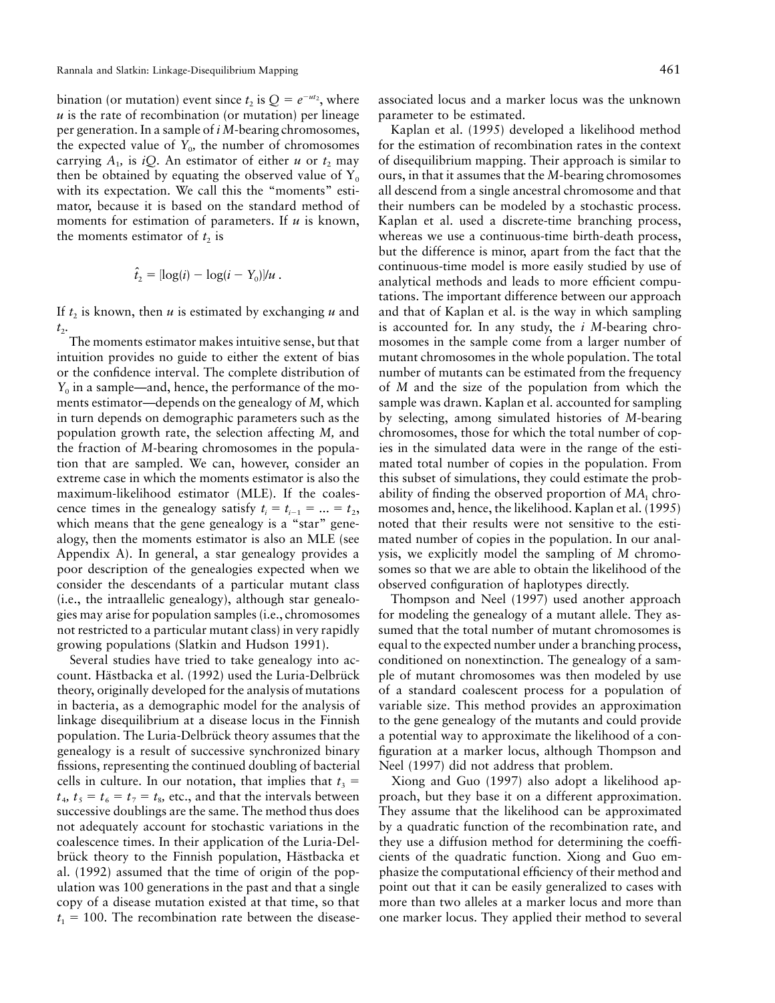bination (or mutation) event since  $t_2$  is  $Q = e^{-ut_2}$ , where *u* is the rate of recombination (or mutation) per lineage per generation. In a sample of *i M*-bearing chromosomes, the expected value of  $Y_0$ , the number of chromosomes carrying  $A_1$ , is *iQ*. An estimator of either *u* or  $t_2$  may then be obtained by equating the observed value of  $Y_0$ with its expectation. We call this the "moments" estimator, because it is based on the standard method of moments for estimation of parameters. If *u* is known, the moments estimator of  $t_2$  is

$$
\hat{t}_2 = [\log(i) - \log(i - Y_0)]/u
$$
.

If  $t_2$  is known, then  $u$  is estimated by exchanging  $u$  and  $t_{2}$ .

The moments estimator makes intuitive sense, but that intuition provides no guide to either the extent of bias or the confidence interval. The complete distribution of *Y*<sub>0</sub> in a sample—and, hence, the performance of the moments estimator—depends on the genealogy of *M,* which in turn depends on demographic parameters such as the population growth rate, the selection affecting *M,* and the fraction of *M*-bearing chromosomes in the population that are sampled. We can, however, consider an extreme case in which the moments estimator is also the maximum-likelihood estimator (MLE). If the coalescence times in the genealogy satisfy  $t_i = t_{i-1} = ... = t_2$ , which means that the gene genealogy is a "star" genealogy, then the moments estimator is also an MLE (see Appendix A). In general, a star genealogy provides a poor description of the genealogies expected when we consider the descendants of a particular mutant class (i.e., the intraallelic genealogy), although star genealogies may arise for population samples(i.e., chromosomes not restricted to a particular mutant class) in very rapidly growing populations (Slatkin and Hudson 1991).

Several studies have tried to take genealogy into account. Hästbacka et al. (1992) used the Luria-Delbrück theory, originally developed for the analysis of mutations in bacteria, as a demographic model for the analysis of linkage disequilibrium at a disease locus in the Finnish population. The Luria-Delbrück theory assumes that the genealogy is a result of successive synchronized binary fissions, representing the continued doubling of bacterial cells in culture. In our notation, that implies that  $t_3$  =  $t_4$ ,  $t_5 = t_6 = t_7 = t_8$ , etc., and that the intervals between successive doublings are the same. The method thus does not adequately account for stochastic variations in the coalescence times. In their application of the Luria-Delbrück theory to the Finnish population, Hästbacka et al. (1992) assumed that the time of origin of the population was 100 generations in the past and that a single copy of a disease mutation existed at that time, so that  $t_1 = 100$ . The recombination rate between the disease-

Kaplan et al. (1995) developed a likelihood method for the estimation of recombination rates in the context of disequilibrium mapping. Their approach is similar to ours, in that it assumes that the *M*-bearing chromosomes all descend from a single ancestral chromosome and that their numbers can be modeled by a stochastic process. Kaplan et al. used a discrete-time branching process, whereas we use a continuous-time birth-death process, but the difference is minor, apart from the fact that the continuous-time model is more easily studied by use of analytical methods and leads to more efficient computations. The important difference between our approach and that of Kaplan et al. is the way in which sampling is accounted for. In any study, the *i M*-bearing chromosomes in the sample come from a larger number of mutant chromosomes in the whole population. The total number of mutants can be estimated from the frequency of *M* and the size of the population from which the sample was drawn. Kaplan et al. accounted for sampling by selecting, among simulated histories of *M*-bearing chromosomes, those for which the total number of copies in the simulated data were in the range of the estimated total number of copies in the population. From this subset of simulations, they could estimate the probability of finding the observed proportion of  $MA_1$  chromosomes and, hence, the likelihood. Kaplan et al. (1995) noted that their results were not sensitive to the estimated number of copies in the population. In our analysis, we explicitly model the sampling of *M* chromosomes so that we are able to obtain the likelihood of the observed configuration of haplotypes directly.

Thompson and Neel (1997) used another approach for modeling the genealogy of a mutant allele. They assumed that the total number of mutant chromosomes is equal to the expected number under a branching process, conditioned on nonextinction. The genealogy of a sample of mutant chromosomes was then modeled by use of a standard coalescent process for a population of variable size. This method provides an approximation to the gene genealogy of the mutants and could provide a potential way to approximate the likelihood of a configuration at a marker locus, although Thompson and Neel (1997) did not address that problem.

Xiong and Guo (1997) also adopt a likelihood approach, but they base it on a different approximation. They assume that the likelihood can be approximated by a quadratic function of the recombination rate, and they use a diffusion method for determining the coefficients of the quadratic function. Xiong and Guo emphasize the computational efficiency of their method and point out that it can be easily generalized to cases with more than two alleles at a marker locus and more than one marker locus. They applied their method to several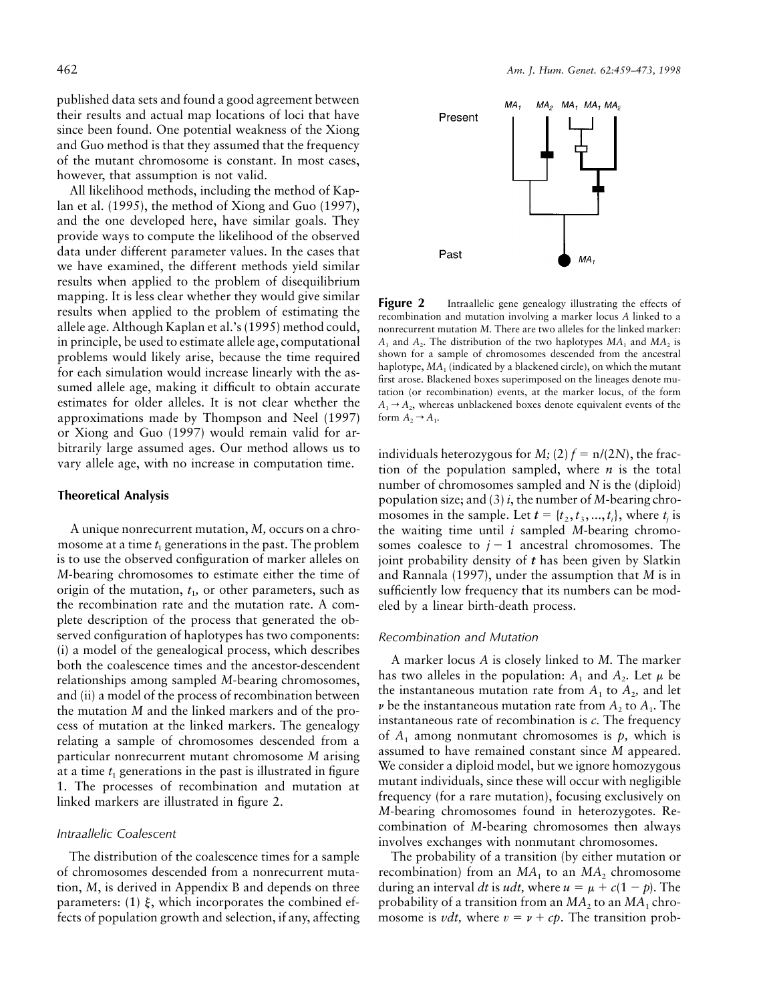published data sets and found a good agreement between their results and actual map locations of loci that have since been found. One potential weakness of the Xiong and Guo method is that they assumed that the frequency of the mutant chromosome is constant. In most cases, however, that assumption is not valid.

All likelihood methods, including the method of Kaplan et al. (1995), the method of Xiong and Guo (1997), and the one developed here, have similar goals. They provide ways to compute the likelihood of the observed data under different parameter values. In the cases that we have examined, the different methods yield similar results when applied to the problem of disequilibrium mapping. It is less clear whether they would give similar results when applied to the problem of estimating the allele age. Although Kaplan et al.'s(1995) method could, in principle, be used to estimate allele age, computational problems would likely arise, because the time required for each simulation would increase linearly with the assumed allele age, making it difficult to obtain accurate estimates for older alleles. It is not clear whether the approximations made by Thompson and Neel (1997) or Xiong and Guo (1997) would remain valid for arbitrarily large assumed ages. Our method allows us to vary allele age, with no increase in computation time.

#### **Theoretical Analysis**

A unique nonrecurrent mutation, *M,* occurs on a chromosome at a time  $t_1$  generations in the past. The problem is to use the observed configuration of marker alleles on *M*-bearing chromosomes to estimate either the time of origin of the mutation,  $t_1$ , or other parameters, such as the recombination rate and the mutation rate. A complete description of the process that generated the observed configuration of haplotypes has two components: (i) a model of the genealogical process, which describes both the coalescence times and the ancestor-descendent relationships among sampled *M*-bearing chromosomes, and (ii) a model of the process of recombination between the mutation *M* and the linked markers and of the process of mutation at the linked markers. The genealogy relating a sample of chromosomes descended from a particular nonrecurrent mutant chromosome *M* arising at a time  $t_1$  generations in the past is illustrated in figure 1. The processes of recombination and mutation at linked markers are illustrated in figure 2.

#### *Intraallelic Coalescent*

The distribution of the coalescence times for a sample of chromosomes descended from a nonrecurrent mutation, *M*, is derived in Appendix B and depends on three parameters: (1)  $\xi$ , which incorporates the combined effects of population growth and selection, if any, affecting



**Figure 2** Intraallelic gene genealogy illustrating the effects of recombination and mutation involving a marker locus *A* linked to a nonrecurrent mutation *M.* There are two alleles for the linked marker:  $A_1$  and  $A_2$ . The distribution of the two haplotypes  $MA_1$  and  $MA_2$  is shown for a sample of chromosomes descended from the ancestral haplotype,  $MA_1$  (indicated by a blackened circle), on which the mutant first arose. Blackened boxes superimposed on the lineages denote mutation (or recombination) events, at the marker locus, of the form  $A_1 \rightarrow A_2$ , whereas unblackened boxes denote equivalent events of the form  $A_2 \rightarrow A_1$ .

individuals heterozygous for *M*; (2)  $f = n/(2N)$ , the fraction of the population sampled, where *n* is the total number of chromosomes sampled and *N* is the (diploid) population size; and (3) *i*, the number of *M*-bearing chromosomes in the sample. Let  $t = \{t_2, t_3, ..., t_i\}$ , where  $t_i$  is the waiting time until *i* sampled *M*-bearing chromosomes coalesce to  $j - 1$  ancestral chromosomes. The joint probability density of *t* has been given by Slatkin and Rannala (1997), under the assumption that *M* is in sufficiently low frequency that its numbers can be modeled by a linear birth-death process.

#### *Recombination and Mutation*

A marker locus *A* is closely linked to *M.* The marker has two alleles in the population:  $A_1$  and  $A_2$ . Let  $\mu$  be the instantaneous mutation rate from  $A_1$  to  $A_2$ , and let  $\nu$  be the instantaneous mutation rate from  $A_2$  to  $A_1$ . The instantaneous rate of recombination is *c.* The frequency of  $A_1$  among nonmutant chromosomes is  $p$ , which is assumed to have remained constant since *M* appeared. We consider a diploid model, but we ignore homozygous mutant individuals, since these will occur with negligible frequency (for a rare mutation), focusing exclusively on *M*-bearing chromosomes found in heterozygotes. Recombination of *M*-bearing chromosomes then always involves exchanges with nonmutant chromosomes.

The probability of a transition (by either mutation or recombination) from an  $MA_1$  to an  $MA_2$  chromosome during an interval *dt* is *udt*, where  $u = \mu + c(1 - p)$ . The probability of a transition from an  $MA<sub>2</sub>$  to an  $MA<sub>1</sub>$  chromosome is *vdt*, where  $v = v + cp$ . The transition prob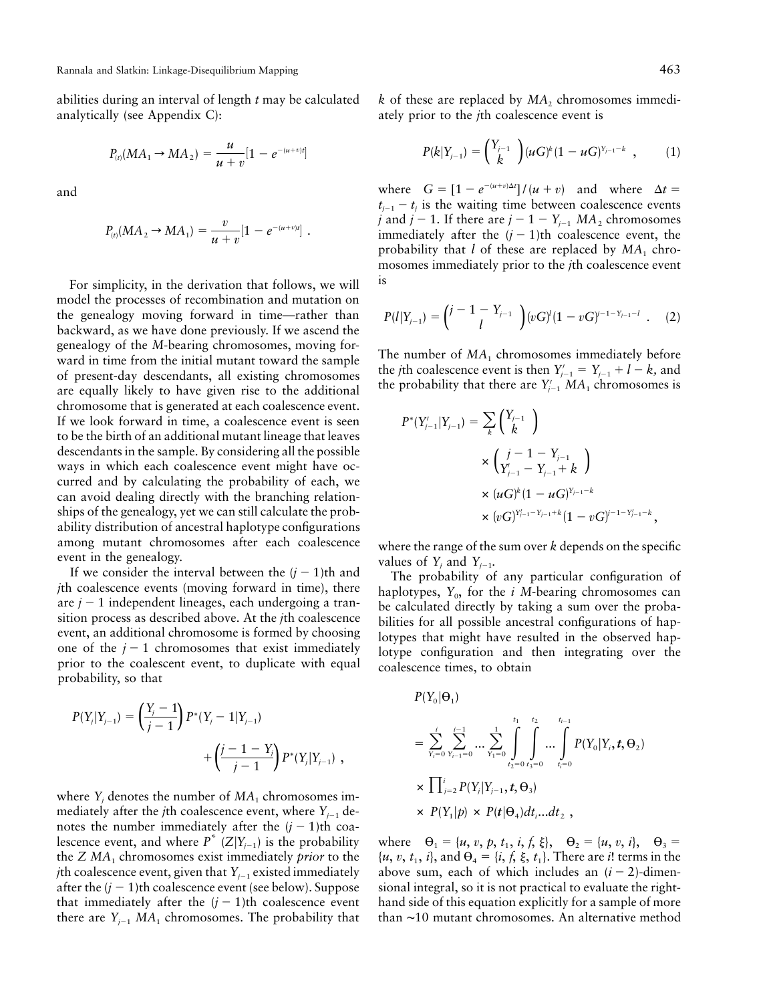abilities during an interval of length *t* may be calculated analytically (see Appendix C):

$$
P_{(t)}(MA_1 \to MA_2) = \frac{u}{u+v} [1 - e^{-(u+v)t}]
$$

and

$$
P_{(t)}(MA_2 \to MA_1) = \frac{v}{u+v} [1 - e^{-(u+v)t}] \ .
$$

For simplicity, in the derivation that follows, we will model the processes of recombination and mutation on the genealogy moving forward in time—rather than backward, as we have done previously. If we ascend the genealogy of the *M*-bearing chromosomes, moving forward in time from the initial mutant toward the sample of present-day descendants, all existing chromosomes are equally likely to have given rise to the additional chromosome that is generated at each coalescence event. If we look forward in time, a coalescence event is seen to be the birth of an additional mutant lineage that leaves descendants in the sample. By considering all the possible ways in which each coalescence event might have occurred and by calculating the probability of each, we can avoid dealing directly with the branching relationships of the genealogy, yet we can still calculate the probability distribution of ancestral haplotype configurations among mutant chromosomes after each coalescence event in the genealogy.

If we consider the interval between the  $(j - 1)$ th and *j*th coalescence events (moving forward in time), there are  $j - 1$  independent lineages, each undergoing a transition process as described above. At the *j*th coalescence event, an additional chromosome is formed by choosing one of the  $j - 1$  chromosomes that exist immediately prior to the coalescent event, to duplicate with equal probability, so that

$$
P(Y_j|Y_{j-1}) = \left(\frac{Y_j - 1}{j-1}\right) P^*(Y_j - 1|Y_{j-1}) + \left(\frac{j-1-Y_j}{j-1}\right) P^*(Y_j|Y_{j-1}),
$$

where  $Y_i$  denotes the number of  $MA_1$  chromosomes immediately after the *j*th coalescence event, where  $Y_{i-1}$  denotes the number immediately after the  $(j - 1)$ th coalescence event, and where  $P^*$  ( $Z|Y_{i-1}$ ) is the probability the *Z MA*<sup>1</sup> chromosomes exist immediately *prior* to the *j*th coalescence event, given that  $Y_{i-1}$  existed immediately after the  $(j - 1)$ th coalescence event (see below). Suppose that immediately after the  $(j - 1)$ th coalescence event there are  $Y_{i-1}$   $MA_1$  chromosomes. The probability that

 $k$  of these are replaced by  $MA<sub>2</sub>$  chromosomes immediately prior to the *j*th coalescence event is

$$
P(k|Y_{j-1}) = {Y_{j-1} \choose k} (u)^{k} (1 - u)^{Y_{j-1} - k} \quad , \qquad (1)
$$

where  $G = \left[1 - e^{-(u+v)\Delta t}\right]/(u+v)$  and where  $\Delta t =$  $t_{i-1} - t_i$  is the waiting time between coalescence events *j* and *j* - 1. If there are *j* - 1 -  $Y_{j-1}$   $MA_2$  chromosomes immediately after the  $(j - 1)$ th coalescence event, the probability that *l* of these are replaced by  $MA_1$  chromosomes immediately prior to the *j*th coalescence event is

$$
P(l|Y_{j-1}) = {j-1-Y_{j-1} \choose l} (vG)^l (1-vG)^{j-1-Y_{j-1}-l} . \quad (2)
$$

The number of  $MA<sub>1</sub>$  chromosomes immediately before the *j*th coalescence event is then  $Y'_{i-1} = Y_{i-1} + l - k$ , and the probability that there are  $Y'_{i-1}$   $MA_1$  chromosomes is

$$
P^*(Y'_{j-1}|Y_{j-1}) = \sum_{k} {Y_{j-1} \choose k}
$$
  
 
$$
\times \left(\frac{j-1-Y_{j-1}}{Y'_{j-1}-Y_{j-1}+k}\right)
$$
  
 
$$
\times (uG)^k (1-uG)^{Y_{j-1}-k}
$$
  
 
$$
\times (vG)^{Y'_{j-1}-Y_{j-1}+k} (1-vG)^{j-1-Y'_{j-1}-k},
$$

where the range of the sum over *k* depends on the specific values of  $Y_i$  and  $Y_{i-1}$ .

The probability of any particular configuration of haplotypes,  $Y_0$ , for the *i M*-bearing chromosomes can be calculated directly by taking a sum over the probabilities for all possible ancestral configurations of haplotypes that might have resulted in the observed haplotype configuration and then integrating over the coalescence times, to obtain

$$
P(Y_0 | \Theta_1)
$$
  
=  $\sum_{Y_i=0}^{i} \sum_{Y_{i-1}=0}^{i-1} \dots \sum_{Y_1=0}^{1} \int_{t_2=0}^{t_1} \int_{t_3=0}^{t_2} \dots \int_{t_i=0}^{t_{i-1}} P(Y_0 | Y_i, t, \Theta_2)$   
 $\times \prod_{j=2}^{i} P(Y_j | Y_{j-1}, t, \Theta_3)$   
 $\times P(Y_1 | p) \times P(t | \Theta_4) dt_i ... dt_2$ ,

where  $\Theta_1 = \{u, v, p, t_1, i, f, \xi\}, \quad \Theta_2 = \{u, v, i\}, \quad \Theta_3 =$  ${u, v, t_1, i}$ , and  $\Theta_4 = {i, f, \xi, t_1}$ . There are *i*! terms in the above sum, each of which includes an  $(i - 2)$ -dimensional integral, so it is not practical to evaluate the righthand side of this equation explicitly for a sample of more than ∼10 mutant chromosomes. An alternative method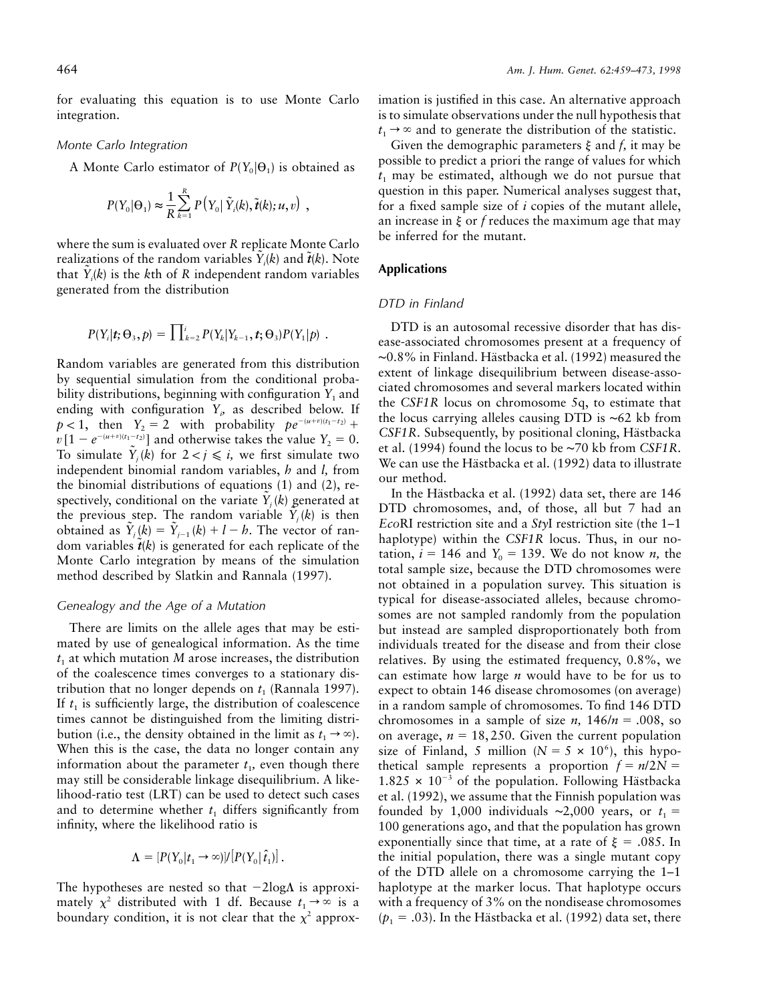for evaluating this equation is to use Monte Carlo integration.

#### *Monte Carlo Integration*

A Monte Carlo estimator of  $P(Y_0 | \Theta_1)$  is obtained as

$$
P(Y_0|\Theta_1) \approx \frac{1}{R} \sum_{k=1}^R P(Y_0 | \tilde{Y}_i(k), \tilde{t}(k); u, v) ,
$$

where the sum is evaluated over *R* replicate Monte Carlo realizations of the random variables  $\tilde{Y}_i(k)$  and  $\tilde{\boldsymbol{t}}(k)$ . Note that  $\tilde{Y}_i(k)$  is the *k*th of *R* independent random variables generated from the distribution

$$
P(Y_i|\mathbf{t};\Theta_3,p) = \prod_{k=2}^i P(Y_k|Y_{k-1},\mathbf{t};\Theta_3) P(Y_1|p) .
$$

Random variables are generated from this distribution by sequential simulation from the conditional probability distributions, beginning with configuration  $Y_1$  and ending with configuration  $Y_i$ , as described below. If  $p < 1$ , then  $Y_2 = 2$  with probability  $pe^{-(u+v)(t_1-t_2)} +$  $v[1 - e^{-(u+v)(t_1-t_2)}]$  and otherwise takes the value  $Y_2 = 0$ . To simulate  $\tilde{Y}_i(k)$  for  $2 < j \leq i$ , we first simulate two independent binomial random variables, *h* and *l,* from the binomial distributions of equations (1) and (2), respectively, conditional on the variate  $\tilde{Y}_i(k)$  generated at the previous step. The random variable  $\tilde{Y}_i(k)$  is then obtained as  $\tilde{Y}_i(k) = \tilde{Y}_{i-1}(k) + l - h$ . The vector of random variables  $\tilde{\mathbf{t}}(k)$  is generated for each replicate of the Monte Carlo integration by means of the simulation method described by Slatkin and Rannala (1997).

#### *Genealogy and the Age of a Mutation*

There are limits on the allele ages that may be estimated by use of genealogical information. As the time  $t_1$  at which mutation  $M$  arose increases, the distribution of the coalescence times converges to a stationary distribution that no longer depends on  $t_1$  (Rannala 1997). If  $t_1$  is sufficiently large, the distribution of coalescence times cannot be distinguished from the limiting distribution (i.e., the density obtained in the limit as  $t_1 \rightarrow \infty$ ). When this is the case, the data no longer contain any information about the parameter  $t_1$ , even though there may still be considerable linkage disequilibrium. A likelihood-ratio test (LRT) can be used to detect such cases and to determine whether  $t_1$  differs significantly from infinity, where the likelihood ratio is

$$
\Lambda = [P(Y_0|t_1 \to \infty)]/[P(Y_0|\hat{t}_1)].
$$

The hypotheses are nested so that  $-2\log\Lambda$  is approximately  $\chi^2$  distributed with 1 df. Because  $t_1 \rightarrow \infty$  is a boundary condition, it is not clear that the  $\chi^2$  approximation is justified in this case. An alternative approach is to simulate observations under the null hypothesis that  $t_1 \rightarrow \infty$  and to generate the distribution of the statistic.

Given the demographic parameters  $\xi$  and  $f$ , it may be possible to predict a priori the range of values for which  $t_1$  may be estimated, although we do not pursue that question in this paper. Numerical analyses suggest that, for a fixed sample size of *i* copies of the mutant allele, an increase in  $\xi$  or  $f$  reduces the maximum age that may be inferred for the mutant.

## **Applications**

#### *DTD in Finland*

DTD is an autosomal recessive disorder that has disease-associated chromosomes present at a frequency of ∼0.8% in Finland. Ha¨stbacka et al. (1992) measured the extent of linkage disequilibrium between disease-associated chromosomes and several markers located within the *CSF1R* locus on chromosome 5q, to estimate that the locus carrying alleles causing DTD is ∼62 kb from *CSF1R.* Subsequently, by positional cloning, Hästbacka et al. (1994) found the locus to be ∼70 kb from *CSF1R.* We can use the Hästbacka et al. (1992) data to illustrate our method.

In the Hästbacka et al. (1992) data set, there are 146 DTD chromosomes, and, of those, all but 7 had an *Eco*RI restriction site and a *Sty*I restriction site (the 1–1 haplotype) within the *CSF1R* locus. Thus, in our notation,  $i = 146$  and  $Y_0 = 139$ . We do not know *n*, the total sample size, because the DTD chromosomes were not obtained in a population survey. This situation is typical for disease-associated alleles, because chromosomes are not sampled randomly from the population but instead are sampled disproportionately both from individuals treated for the disease and from their close relatives. By using the estimated frequency, 0.8%, we can estimate how large *n* would have to be for us to expect to obtain 146 disease chromosomes (on average) in a random sample of chromosomes. To find 146 DTD chromosomes in a sample of size *n*,  $146/n = .008$ , so on average,  $n = 18, 250$ . Given the current population size of Finland, 5 million ( $N = 5 \times 10^6$ ), this hypothetical sample represents a proportion  $f = n/2N =$  $1.825 \times 10^{-3}$  of the population. Following Hästbacka et al. (1992), we assume that the Finnish population was founded by 1,000 individuals ∼2,000 years, or  $t_1$  = 100 generations ago, and that the population has grown exponentially since that time, at a rate of  $\xi = .085$ . In the initial population, there was a single mutant copy of the DTD allele on a chromosome carrying the 1–1 haplotype at the marker locus. That haplotype occurs with a frequency of 3% on the nondisease chromosomes  $(p_1 = .03)$ . In the Hästbacka et al. (1992) data set, there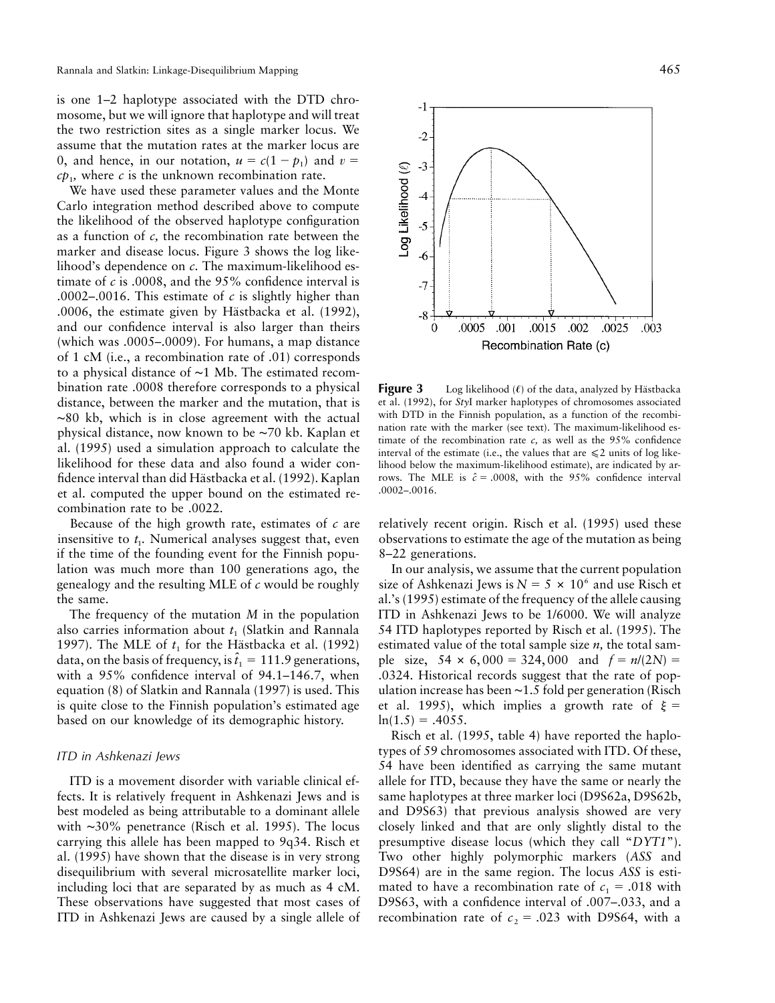is one 1–2 haplotype associated with the DTD chromosome, but we will ignore that haplotype and will treat the two restriction sites as a single marker locus. We assume that the mutation rates at the marker locus are 0, and hence, in our notation,  $u = c(1 - p_1)$  and  $v =$  $cp_1$ , where *c* is the unknown recombination rate.

We have used these parameter values and the Monte Carlo integration method described above to compute the likelihood of the observed haplotype configuration as a function of *c,* the recombination rate between the marker and disease locus. Figure 3 shows the log likelihood's dependence on *c.* The maximum-likelihood estimate of *c* is .0008, and the 95% confidence interval is .0002–.0016. This estimate of *c* is slightly higher than .0006, the estimate given by Hästbacka et al. (1992), and our confidence interval is also larger than theirs (which was .0005–.0009). For humans, a map distance of 1 cM (i.e., a recombination rate of .01) corresponds to a physical distance of ∼1 Mb. The estimated recombination rate .0008 therefore corresponds to a physical distance, between the marker and the mutation, that is ∼80 kb, which is in close agreement with the actual physical distance, now known to be ∼70 kb. Kaplan et al. (1995) used a simulation approach to calculate the likelihood for these data and also found a wider confidence interval than did Hästbacka et al. (1992). Kaplan et al. computed the upper bound on the estimated recombination rate to be .0022.

Because of the high growth rate, estimates of *c* are insensitive to  $t_1$ . Numerical analyses suggest that, even if the time of the founding event for the Finnish population was much more than 100 generations ago, the genealogy and the resulting MLE of *c* would be roughly the same.

The frequency of the mutation *M* in the population also carries information about  $t_1$  (Slatkin and Rannala 1997). The MLE of  $t_1$  for the Hästbacka et al. (1992) data, on the basis of frequency, is  $\hat{t}_1 = 111.9$  generations, with a 95% confidence interval of 94.1–146.7, when equation (8) of Slatkin and Rannala (1997) is used. This is quite close to the Finnish population's estimated age based on our knowledge of its demographic history.

#### *ITD in Ashkenazi Jews*

ITD is a movement disorder with variable clinical effects. It is relatively frequent in Ashkenazi Jews and is best modeled as being attributable to a dominant allele with ∼30% penetrance (Risch et al. 1995). The locus carrying this allele has been mapped to 9q34. Risch et al. (1995) have shown that the disease is in very strong disequilibrium with several microsatellite marker loci, including loci that are separated by as much as 4 cM. These observations have suggested that most cases of ITD in Ashkenazi Jews are caused by a single allele of



**Figure**  $3$  Log likelihood ( $\ell$ ) of the data, analyzed by Hästbacka et al. (1992), for *Sty*I marker haplotypes of chromosomes associated with DTD in the Finnish population, as a function of the recombination rate with the marker (see text). The maximum-likelihood estimate of the recombination rate *c,* as well as the 95% confidence interval of the estimate (i.e., the values that are  $\leq 2$  units of log likelihood below the maximum-likelihood estimate), are indicated by arrows. The MLE is  $\hat{c} = .0008$ , with the 95% confidence interval .0002–.0016.

relatively recent origin. Risch et al. (1995) used these observations to estimate the age of the mutation as being 8–22 generations.

In our analysis, we assume that the current population size of Ashkenazi Jews is  $N = 5 \times 10^6$  and use Risch et al.'s (1995) estimate of the frequency of the allele causing ITD in Ashkenazi Jews to be 1/6000. We will analyze 54 ITD haplotypes reported by Risch et al. (1995). The estimated value of the total sample size *n,* the total sample size,  $54 \times 6,000 = 324,000$  and  $f = n/(2N) =$ .0324. Historical records suggest that the rate of population increase has been ∼1.5 fold per generation (Risch et al. 1995), which implies a growth rate of  $\xi =$  $ln(1.5) = .4055$ .

Risch et al. (1995, table 4) have reported the haplotypes of 59 chromosomes associated with ITD. Of these, 54 have been identified as carrying the same mutant allele for ITD, because they have the same or nearly the same haplotypes at three marker loci (D9S62a, D9S62b, and D9S63) that previous analysis showed are very closely linked and that are only slightly distal to the presumptive disease locus (which they call "*DYT1*"). Two other highly polymorphic markers (*ASS* and D9S64) are in the same region. The locus *ASS* is estimated to have a recombination rate of  $c_1 = .018$  with D9S63, with a confidence interval of .007–.033, and a recombination rate of  $c_2 = .023$  with D9S64, with a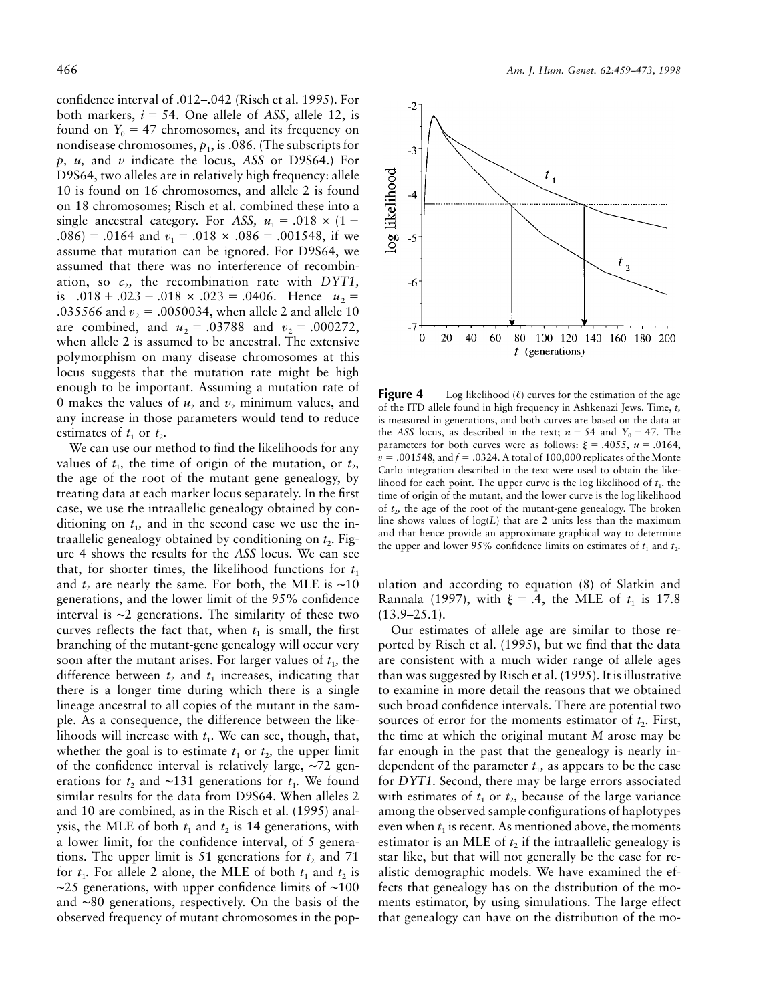confidence interval of .012–.042 (Risch et al. 1995). For both markers,  $i = 54$ . One allele of *ASS*, allele 12, is found on  $Y_0 = 47$  chromosomes, and its frequency on nondisease chromosomes,  $p_1$ , is .086. (The subscripts for *p, u,* and *v* indicate the locus, *ASS* or D9S64.) For D9S64, two alleles are in relatively high frequency: allele 10 is found on 16 chromosomes, and allele 2 is found on 18 chromosomes; Risch et al. combined these into a single ancestral category. For ASS,  $u_1 = .018 \times (1 -$ .086) = .0164 and  $v_1 = .018 \times .086 = .001548$ , if we assume that mutation can be ignored. For D9S64, we assumed that there was no interference of recombination, so  $c_2$ , the recombination rate with *DYT1*, is  $.018 + .023 - .018 \times .023 = .0406$ . Hence  $u_2 =$ .035566 and  $v_2$  = .0050034, when allele 2 and allele 10 are combined, and  $u_2 = .03788$  and  $v_2 = .000272$ , when allele 2 is assumed to be ancestral. The extensive polymorphism on many disease chromosomes at this locus suggests that the mutation rate might be high enough to be important. Assuming a mutation rate of 0 makes the values of  $u_2$  and  $v_2$  minimum values, and any increase in those parameters would tend to reduce estimates of  $t_1$  or  $t_2$ .

We can use our method to find the likelihoods for any values of  $t_1$ , the time of origin of the mutation, or  $t_2$ , the age of the root of the mutant gene genealogy, by treating data at each marker locus separately. In the first case, we use the intraallelic genealogy obtained by conditioning on  $t_1$ , and in the second case we use the intraallelic genealogy obtained by conditioning on  $t_2$ . Figure 4 shows the results for the *ASS* locus. We can see that, for shorter times, the likelihood functions for  $t_1$ and  $t_2$  are nearly the same. For both, the MLE is  $~10$ generations, and the lower limit of the 95% confidence interval is ∼2 generations. The similarity of these two curves reflects the fact that, when  $t_1$  is small, the first branching of the mutant-gene genealogy will occur very soon after the mutant arises. For larger values of  $t_1$ , the difference between  $t_2$  and  $t_1$  increases, indicating that there is a longer time during which there is a single lineage ancestral to all copies of the mutant in the sample. As a consequence, the difference between the likelihoods will increase with  $t_1$ . We can see, though, that, whether the goal is to estimate  $t_1$  or  $t_2$ , the upper limit of the confidence interval is relatively large, ∼72 generations for *t*<sub>2</sub> and ∼131 generations for *t*<sub>1</sub>. We found similar results for the data from D9S64. When alleles 2 and 10 are combined, as in the Risch et al. (1995) analysis, the MLE of both  $t_1$  and  $t_2$  is 14 generations, with a lower limit, for the confidence interval, of 5 generations. The upper limit is 51 generations for  $t_2$  and 71 for  $t_1$ . For allele 2 alone, the MLE of both  $t_1$  and  $t_2$  is ∼25 generations, with upper confidence limits of ∼100 and ∼80 generations, respectively. On the basis of the observed frequency of mutant chromosomes in the pop-



**Figure 4** Log likelihood  $(\ell)$  curves for the estimation of the age of the ITD allele found in high frequency in Ashkenazi Jews. Time, *t,* is measured in generations, and both curves are based on the data at the *ASS* locus, as described in the text;  $n = 54$  and  $Y_0 = 47$ . The parameters for both curves were as follows:  $\xi = .4055$ ,  $u = .0164$ ,  $v = .001548$ , and  $f = .0324$ . A total of 100,000 replicates of the Monte Carlo integration described in the text were used to obtain the likelihood for each point. The upper curve is the log likelihood of  $t_1$ , the time of origin of the mutant, and the lower curve is the log likelihood of  $t_2$ , the age of the root of the mutant-gene genealogy. The broken line shows values of log(*L*) that are 2 units less than the maximum and that hence provide an approximate graphical way to determine the upper and lower 95% confidence limits on estimates of  $t_1$  and  $t_2$ .

ulation and according to equation (8) of Slatkin and Rannala (1997), with  $\xi = .4$ , the MLE of  $t_1$  is 17.8  $(13.9 - 25.1)$ .

Our estimates of allele age are similar to those reported by Risch et al. (1995), but we find that the data are consistent with a much wider range of allele ages than was suggested by Risch et al. (1995). It isillustrative to examine in more detail the reasons that we obtained such broad confidence intervals. There are potential two sources of error for the moments estimator of  $t<sub>2</sub>$ . First, the time at which the original mutant *M* arose may be far enough in the past that the genealogy is nearly independent of the parameter  $t_1$ , as appears to be the case for *DYT1.* Second, there may be large errors associated with estimates of  $t_1$  or  $t_2$ , because of the large variance among the observed sample configurations of haplotypes even when  $t_1$  is recent. As mentioned above, the moments estimator is an MLE of  $t_2$  if the intraallelic genealogy is star like, but that will not generally be the case for realistic demographic models. We have examined the effects that genealogy has on the distribution of the moments estimator, by using simulations. The large effect that genealogy can have on the distribution of the mo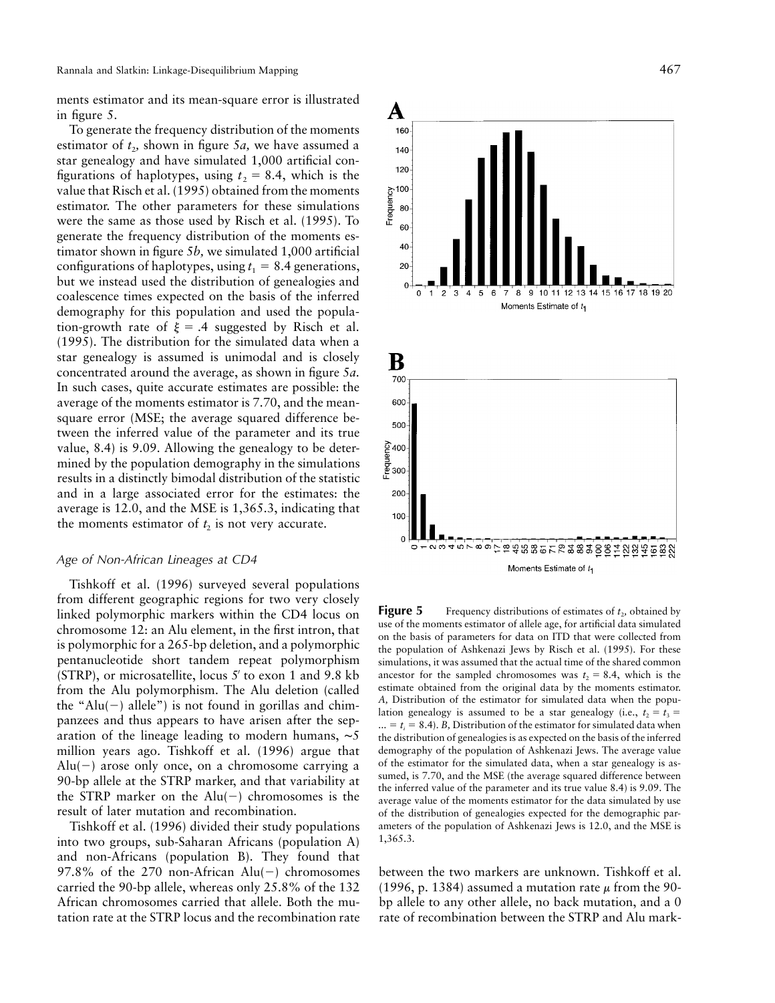ments estimator and its mean-square error is illustrated in figure 5.

To generate the frequency distribution of the moments estimator of  $t_2$ , shown in figure 5*a*, we have assumed a star genealogy and have simulated 1,000 artificial configurations of haplotypes, using  $t_2 = 8.4$ , which is the value that Risch et al. (1995) obtained from the moments estimator. The other parameters for these simulations were the same as those used by Risch et al. (1995). To generate the frequency distribution of the moments estimator shown in figure 5*b,* we simulated 1,000 artificial configurations of haplotypes, using  $t_1 = 8.4$  generations, but we instead used the distribution of genealogies and coalescence times expected on the basis of the inferred demography for this population and used the population-growth rate of  $\xi = .4$  suggested by Risch et al. (1995). The distribution for the simulated data when a star genealogy is assumed is unimodal and is closely concentrated around the average, as shown in figure 5*a.* In such cases, quite accurate estimates are possible: the average of the moments estimator is 7.70, and the meansquare error (MSE; the average squared difference between the inferred value of the parameter and its true value, 8.4) is 9.09. Allowing the genealogy to be determined by the population demography in the simulations results in a distinctly bimodal distribution of the statistic and in a large associated error for the estimates: the average is 12.0, and the MSE is 1,365.3, indicating that the moments estimator of  $t_2$  is not very accurate.

#### *Age of Non-African Lineages at CD4*

Tishkoff et al. (1996) surveyed several populations from different geographic regions for two very closely linked polymorphic markers within the CD4 locus on chromosome 12: an Alu element, in the first intron, that is polymorphic for a 265-bp deletion, and a polymorphic pentanucleotide short tandem repeat polymorphism (STRP), or microsatellite, locus  $5'$  to exon 1 and 9.8 kb from the Alu polymorphism. The Alu deletion (called the "Alu(-) allele") is not found in gorillas and chimpanzees and thus appears to have arisen after the separation of the lineage leading to modern humans, ∼5 million years ago. Tishkoff et al. (1996) argue that  $\text{Alu}(-)$  arose only once, on a chromosome carrying a 90-bp allele at the STRP marker, and that variability at the STRP marker on the  $\text{Alu}(-)$  chromosomes is the result of later mutation and recombination.

Tishkoff et al. (1996) divided their study populations into two groups, sub-Saharan Africans (population A) and non-Africans (population B). They found that 97.8% of the 270 non-African Alu $(-)$  chromosomes carried the 90-bp allele, whereas only 25.8% of the 132 African chromosomes carried that allele. Both the mutation rate at the STRP locus and the recombination rate



**Figure** 5 Frequency distributions of estimates of  $t_2$ , obtained by use of the moments estimator of allele age, for artificial data simulated on the basis of parameters for data on ITD that were collected from the population of Ashkenazi Jews by Risch et al. (1995). For these simulations, it was assumed that the actual time of the shared common ancestor for the sampled chromosomes was  $t_2 = 8.4$ , which is the estimate obtained from the original data by the moments estimator. *A,* Distribution of the estimator for simulated data when the population genealogy is assumed to be a star genealogy (i.e.,  $t_2 = t_3 =$  $\ldots = t_i = 8.4$ ). *B*, Distribution of the estimator for simulated data when the distribution of genealogies is as expected on the basis of the inferred demography of the population of Ashkenazi Jews. The average value of the estimator for the simulated data, when a star genealogy is assumed, is 7.70, and the MSE (the average squared difference between the inferred value of the parameter and its true value 8.4) is 9.09. The average value of the moments estimator for the data simulated by use of the distribution of genealogies expected for the demographic parameters of the population of Ashkenazi Jews is 12.0, and the MSE is 1,365.3.

between the two markers are unknown. Tishkoff et al. (1996, p. 1384) assumed a mutation rate  $\mu$  from the 90bp allele to any other allele, no back mutation, and a 0 rate of recombination between the STRP and Alu mark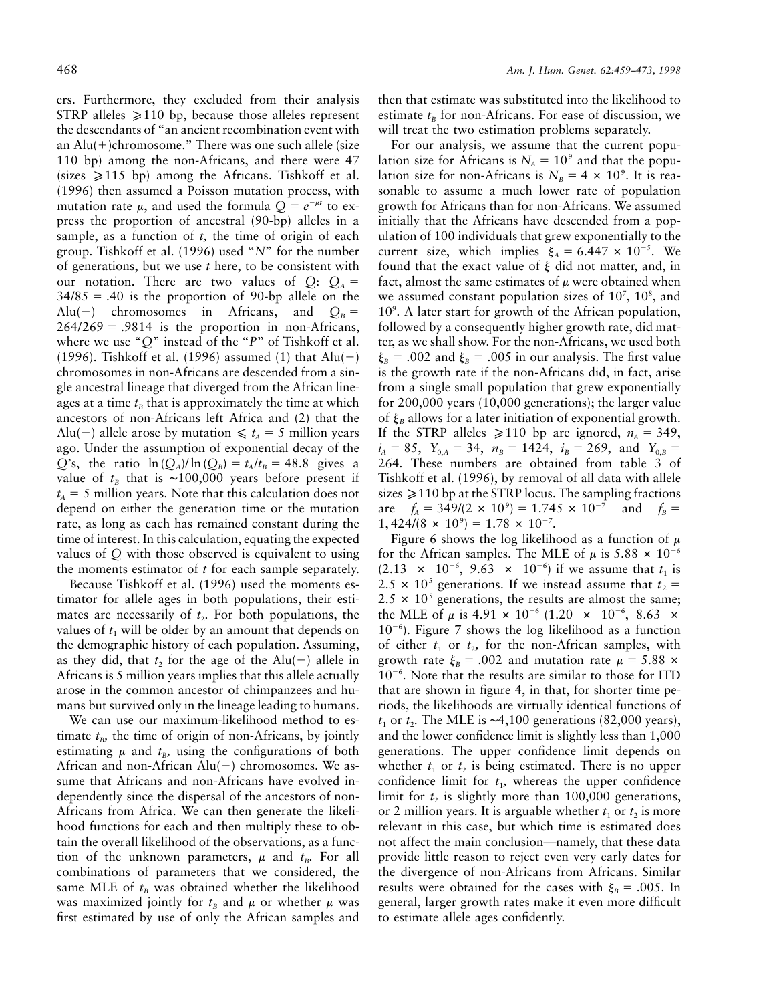ers. Furthermore, they excluded from their analysis STRP alleles  $\geq 110$  bp, because those alleles represent the descendants of "an ancient recombination event with an  $\text{Alu}(+)$ chromosome." There was one such allele (size 110 bp) among the non-Africans, and there were 47 (sizes  $\geq$ 115 bp) among the Africans. Tishkoff et al. (1996) then assumed a Poisson mutation process, with mutation rate  $\mu$ , and used the formula  $Q = e^{-\mu t}$  to express the proportion of ancestral (90-bp) alleles in a sample, as a function of *t,* the time of origin of each group. Tishkoff et al. (1996) used "*N*" for the number of generations, but we use *t* here, to be consistent with our notation. There are two values of  $Q: Q_A =$  $34/85 = .40$  is the proportion of 90-bp allele on the Alu(-) chromosomes in Africans, and  $Q_B =$  $264/269 = .9814$  is the proportion in non-Africans, where we use "*Q*" instead of the "*P*" of Tishkoff et al. (1996). Tishkoff et al. (1996) assumed (1) that  $\text{Alu}(-)$ chromosomes in non-Africans are descended from a single ancestral lineage that diverged from the African lineages at a time  $t_B$  that is approximately the time at which ancestors of non-Africans left Africa and (2) that the Alu(-) allele arose by mutation  $\le t_A = 5$  million years ago. Under the assumption of exponential decay of the *Q*'s, the ratio  $\ln (Q_A)/\ln (Q_B) = t_A/t_B = 48.8$  gives a value of  $t_B$  that is ~100,000 years before present if  $t_A = 5$  million years. Note that this calculation does not depend on either the generation time or the mutation rate, as long as each has remained constant during the time of interest. In this calculation, equating the expected values of *Q* with those observed is equivalent to using the moments estimator of *t* for each sample separately.

Because Tishkoff et al. (1996) used the moments estimator for allele ages in both populations, their estimates are necessarily of  $t_2$ . For both populations, the values of  $t_1$  will be older by an amount that depends on the demographic history of each population. Assuming, as they did, that  $t_2$  for the age of the Alu(-) allele in Africans is 5 million years implies that this allele actually arose in the common ancestor of chimpanzees and humans but survived only in the lineage leading to humans.

We can use our maximum-likelihood method to estimate  $t_B$ , the time of origin of non-Africans, by jointly estimating  $\mu$  and  $t_B$ , using the configurations of both African and non-African  $\text{Alu}(-)$  chromosomes. We assume that Africans and non-Africans have evolved independently since the dispersal of the ancestors of non-Africans from Africa. We can then generate the likelihood functions for each and then multiply these to obtain the overall likelihood of the observations, as a function of the unknown parameters,  $\mu$  and  $t_B$ . For all combinations of parameters that we considered, the same MLE of  $t_B$  was obtained whether the likelihood was maximized jointly for  $t_B$  and  $\mu$  or whether  $\mu$  was first estimated by use of only the African samples and

then that estimate was substituted into the likelihood to estimate  $t_B$  for non-Africans. For ease of discussion, we will treat the two estimation problems separately.

For our analysis, we assume that the current population size for Africans is  $N_A = 10^9$  and that the population size for non-Africans is  $N_B = 4 \times 10^9$ . It is reasonable to assume a much lower rate of population growth for Africans than for non-Africans. We assumed initially that the Africans have descended from a population of 100 individuals that grew exponentially to the current size, which implies  $\xi_A = 6.447 \times 10^{-5}$ . We found that the exact value of  $\xi$  did not matter, and, in fact, almost the same estimates of  $\mu$  were obtained when we assumed constant population sizes of  $10^7$ ,  $10^8$ , and 109 . A later start for growth of the African population, followed by a consequently higher growth rate, did matter, as we shall show. For the non-Africans, we used both  $\xi_B$  = .002 and  $\xi_B$  = .005 in our analysis. The first value is the growth rate if the non-Africans did, in fact, arise from a single small population that grew exponentially for 200,000 years (10,000 generations); the larger value of  $\xi_B$  allows for a later initiation of exponential growth. If the STRP alleles  $\geq 110$  bp are ignored,  $n_A = 349$ ,  $i_A = 85$ ,  $Y_{0,A} = 34$ ,  $n_B = 1424$ ,  $i_B = 269$ , and  $Y_{0,B} =$ 264. These numbers are obtained from table 3 of Tishkoff et al. (1996), by removal of all data with allele sizes  $\geq 110$  bp at the STRP locus. The sampling fractions are  $f_A = 349/(2 \times 10^9) = 1.745 \times 10^{-7}$  and  $f_B =$  $1,424/(8 \times 10^{9}) = 1.78 \times 10^{-7}$ .

Figure 6 shows the log likelihood as a function of  $\mu$ for the African samples. The MLE of  $\mu$  is 5.88  $\times$  10<sup>-6</sup>  $(2.13 \times 10^{-6}, 9.63 \times 10^{-6})$  if we assume that  $t_1$  is 2.5  $\times$  10<sup>5</sup> generations. If we instead assume that  $t_2$  =  $2.5 \times 10^5$  generations, the results are almost the same; the MLE of  $\mu$  is 4.91  $\times$  10<sup>-6</sup> (1.20  $\times$  10<sup>-6</sup>, 8.63  $\times$  $10^{-6}$ ). Figure 7 shows the log likelihood as a function of either  $t_1$  or  $t_2$ , for the non-African samples, with growth rate  $\xi_B = .002$  and mutation rate  $\mu = 5.88 \times$  $10^{-6}$ . Note that the results are similar to those for ITD that are shown in figure 4, in that, for shorter time periods, the likelihoods are virtually identical functions of *t*<sub>1</sub> or *t*<sub>2</sub>. The MLE is ∼4,100 generations (82,000 years), and the lower confidence limit is slightly less than 1,000 generations. The upper confidence limit depends on whether  $t_1$  or  $t_2$  is being estimated. There is no upper confidence limit for  $t_1$ , whereas the upper confidence limit for  $t_2$  is slightly more than 100,000 generations, or 2 million years. It is arguable whether  $t_1$  or  $t_2$  is more relevant in this case, but which time is estimated does not affect the main conclusion—namely, that these data provide little reason to reject even very early dates for the divergence of non-Africans from Africans. Similar results were obtained for the cases with  $\xi_B = .005$ . In general, larger growth rates make it even more difficult to estimate allele ages confidently.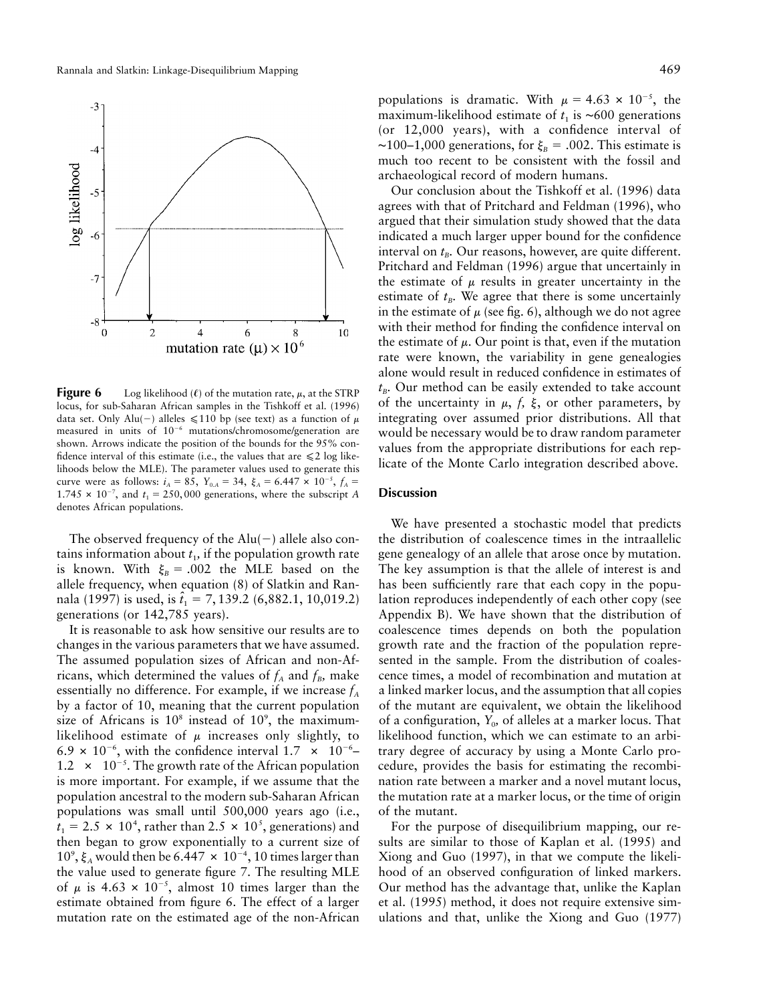

**Figure 6** Log likelihood  $(\ell)$  of the mutation rate,  $\mu$ , at the STRP locus, for sub-Saharan African samples in the Tishkoff et al. (1996) data set. Only Alu(-) alleles  $\leq 110$  bp (see text) as a function of  $\mu$ measured in units of  $10^{-6}$  mutations/chromosome/generation are shown. Arrows indicate the position of the bounds for the 95% confidence interval of this estimate (i.e., the values that are  $\leq 2$  log likelihoods below the MLE). The parameter values used to generate this curve were as follows:  $i_A = 85$ ,  $Y_{0,A} = 34$ ,  $\xi_A = 6.447 \times 10^{-5}$ ,  $f_A =$ 1.745  $\times$  10<sup>-7</sup>, and  $t_1 = 250,000$  generations, where the subscript *A* denotes African populations.

The observed frequency of the  $\text{Alu}(-)$  allele also contains information about  $t<sub>1</sub>$ , if the population growth rate is known. With  $\xi_B = .002$  the MLE based on the allele frequency, when equation (8) of Slatkin and Rannala (1997) is used, is  $\hat{t}_1 = 7,139.2$  (6,882.1, 10,019.2) generations (or 142,785 years).

It is reasonable to ask how sensitive our results are to changes in the various parameters that we have assumed. The assumed population sizes of African and non-Africans, which determined the values of  $f_A$  and  $f_B$ , make essentially no difference. For example, if we increase  $f_A$ by a factor of 10, meaning that the current population size of Africans is  $10^8$  instead of  $10^9$ , the maximumlikelihood estimate of  $\mu$  increases only slightly, to 6.9  $\times$  10<sup>-6</sup>, with the confidence interval 1.7  $\times$  10<sup>-6</sup>-1.2  $\times$  10<sup>-5</sup>. The growth rate of the African population is more important. For example, if we assume that the population ancestral to the modern sub-Saharan African populations was small until 500,000 years ago (i.e.,  $t_1 = 2.5 \times 10^4$ , rather than 2.5  $\times$  10<sup>5</sup>, generations) and then began to grow exponentially to a current size of 10<sup>9</sup>,  $\xi_A$  would then be 6.447  $\times$  10<sup>-4</sup>, 10 times larger than the value used to generate figure 7. The resulting MLE of  $\mu$  is 4.63  $\times$  10<sup>-5</sup>, almost 10 times larger than the estimate obtained from figure 6. The effect of a larger mutation rate on the estimated age of the non-African

populations is dramatic. With  $\mu = 4.63 \times 10^{-5}$ , the maximum-likelihood estimate of  $t_1$  is ~600 generations (or 12,000 years), with a confidence interval of ~100–1,000 generations, for  $\xi_B = .002$ . This estimate is much too recent to be consistent with the fossil and archaeological record of modern humans.

Our conclusion about the Tishkoff et al. (1996) data agrees with that of Pritchard and Feldman (1996), who argued that their simulation study showed that the data indicated a much larger upper bound for the confidence interval on  $t_B$ . Our reasons, however, are quite different. Pritchard and Feldman (1996) argue that uncertainly in the estimate of  $\mu$  results in greater uncertainty in the estimate of  $t_B$ . We agree that there is some uncertainly in the estimate of  $\mu$  (see fig. 6), although we do not agree with their method for finding the confidence interval on the estimate of  $\mu$ . Our point is that, even if the mutation rate were known, the variability in gene genealogies alone would result in reduced confidence in estimates of  $t_B$ . Our method can be easily extended to take account of the uncertainty in  $\mu$ ,  $f$ ,  $\xi$ , or other parameters, by integrating over assumed prior distributions. All that would be necessary would be to draw random parameter values from the appropriate distributions for each replicate of the Monte Carlo integration described above.

#### **Discussion**

We have presented a stochastic model that predicts the distribution of coalescence times in the intraallelic gene genealogy of an allele that arose once by mutation. The key assumption is that the allele of interest is and has been sufficiently rare that each copy in the population reproduces independently of each other copy (see Appendix B). We have shown that the distribution of coalescence times depends on both the population growth rate and the fraction of the population represented in the sample. From the distribution of coalescence times, a model of recombination and mutation at a linked marker locus, and the assumption that all copies of the mutant are equivalent, we obtain the likelihood of a configuration,  $Y_0$ , of alleles at a marker locus. That likelihood function, which we can estimate to an arbitrary degree of accuracy by using a Monte Carlo procedure, provides the basis for estimating the recombination rate between a marker and a novel mutant locus, the mutation rate at a marker locus, or the time of origin of the mutant.

For the purpose of disequilibrium mapping, our results are similar to those of Kaplan et al. (1995) and Xiong and Guo (1997), in that we compute the likelihood of an observed configuration of linked markers. Our method has the advantage that, unlike the Kaplan et al. (1995) method, it does not require extensive simulations and that, unlike the Xiong and Guo (1977)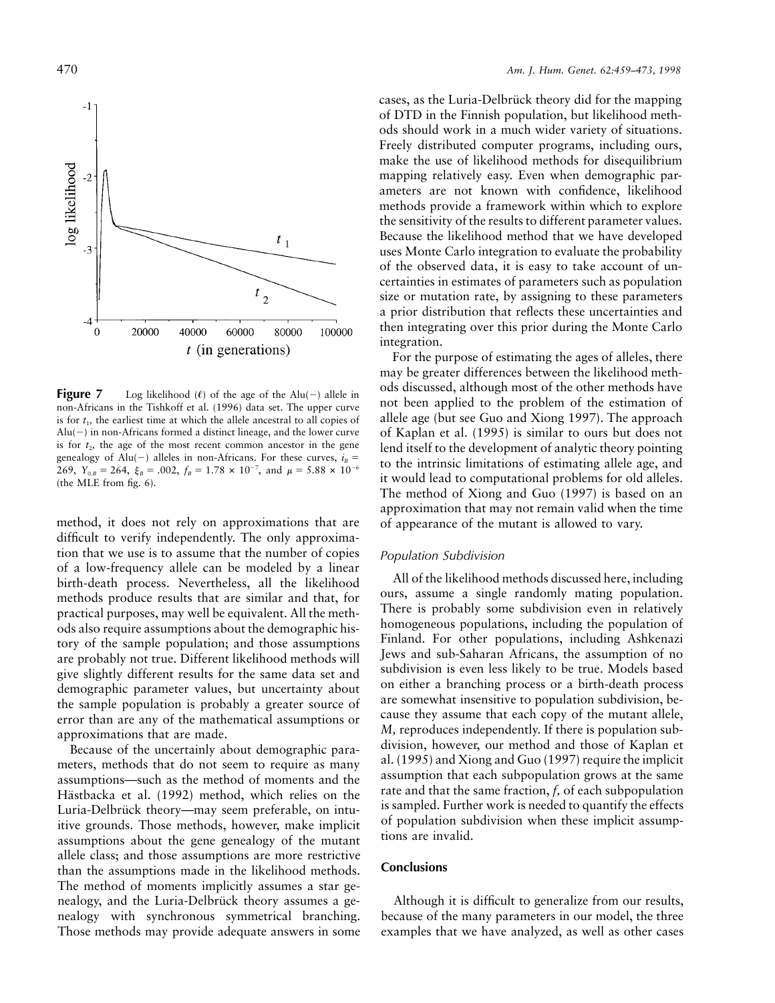

**Figure** 7 Log likelihood ( $\ell$ ) of the age of the Alu(-) allele in non-Africans in the Tishkoff et al. (1996) data set. The upper curve is for  $t_1$ , the earliest time at which the allele ancestral to all copies of  $\text{Alu}(-)$  in non-Africans formed a distinct lineage, and the lower curve is for  $t<sub>2</sub>$ , the age of the most recent common ancestor in the gene genealogy of Alu(-) alleles in non-Africans. For these curves,  $i_B$  = 269,  $Y_{0,B} = 264$ ,  $\xi_B = .002$ ,  $f_B = 1.78 \times 10^{-7}$ , and  $\mu = 5.88 \times 10^{-6}$ (the MLE from fig. 6).

method, it does not rely on approximations that are difficult to verify independently. The only approximation that we use is to assume that the number of copies of a low-frequency allele can be modeled by a linear birth-death process. Nevertheless, all the likelihood methods produce results that are similar and that, for practical purposes, may well be equivalent. All the methods also require assumptions about the demographic history of the sample population; and those assumptions are probably not true. Different likelihood methods will give slightly different results for the same data set and demographic parameter values, but uncertainty about the sample population is probably a greater source of error than are any of the mathematical assumptions or approximations that are made.

Because of the uncertainly about demographic parameters, methods that do not seem to require as many assumptions—such as the method of moments and the Hästbacka et al. (1992) method, which relies on the Luria-Delbrück theory—may seem preferable, on intuitive grounds. Those methods, however, make implicit assumptions about the gene genealogy of the mutant allele class; and those assumptions are more restrictive than the assumptions made in the likelihood methods. The method of moments implicitly assumes a star genealogy, and the Luria-Delbrück theory assumes a genealogy with synchronous symmetrical branching. Those methods may provide adequate answers in some cases, as the Luria-Delbrück theory did for the mapping of DTD in the Finnish population, but likelihood methods should work in a much wider variety of situations. Freely distributed computer programs, including ours, make the use of likelihood methods for disequilibrium mapping relatively easy. Even when demographic parameters are not known with confidence, likelihood methods provide a framework within which to explore the sensitivity of the results to different parameter values. Because the likelihood method that we have developed uses Monte Carlo integration to evaluate the probability of the observed data, it is easy to take account of uncertainties in estimates of parameters such as population size or mutation rate, by assigning to these parameters a prior distribution that reflects these uncertainties and then integrating over this prior during the Monte Carlo integration.

For the purpose of estimating the ages of alleles, there may be greater differences between the likelihood methods discussed, although most of the other methods have not been applied to the problem of the estimation of allele age (but see Guo and Xiong 1997). The approach of Kaplan et al. (1995) is similar to ours but does not lend itself to the development of analytic theory pointing to the intrinsic limitations of estimating allele age, and it would lead to computational problems for old alleles. The method of Xiong and Guo (1997) is based on an approximation that may not remain valid when the time of appearance of the mutant is allowed to vary.

#### *Population Subdivision*

All of the likelihood methods discussed here, including ours, assume a single randomly mating population. There is probably some subdivision even in relatively homogeneous populations, including the population of Finland. For other populations, including Ashkenazi Jews and sub-Saharan Africans, the assumption of no subdivision is even less likely to be true. Models based on either a branching process or a birth-death process are somewhat insensitive to population subdivision, because they assume that each copy of the mutant allele, *M,* reproduces independently. If there is population subdivision, however, our method and those of Kaplan et al. (1995) and Xiong and Guo (1997) require the implicit assumption that each subpopulation grows at the same rate and that the same fraction, *f,* of each subpopulation is sampled. Further work is needed to quantify the effects of population subdivision when these implicit assumptions are invalid.

## **Conclusions**

Although it is difficult to generalize from our results, because of the many parameters in our model, the three examples that we have analyzed, as well as other cases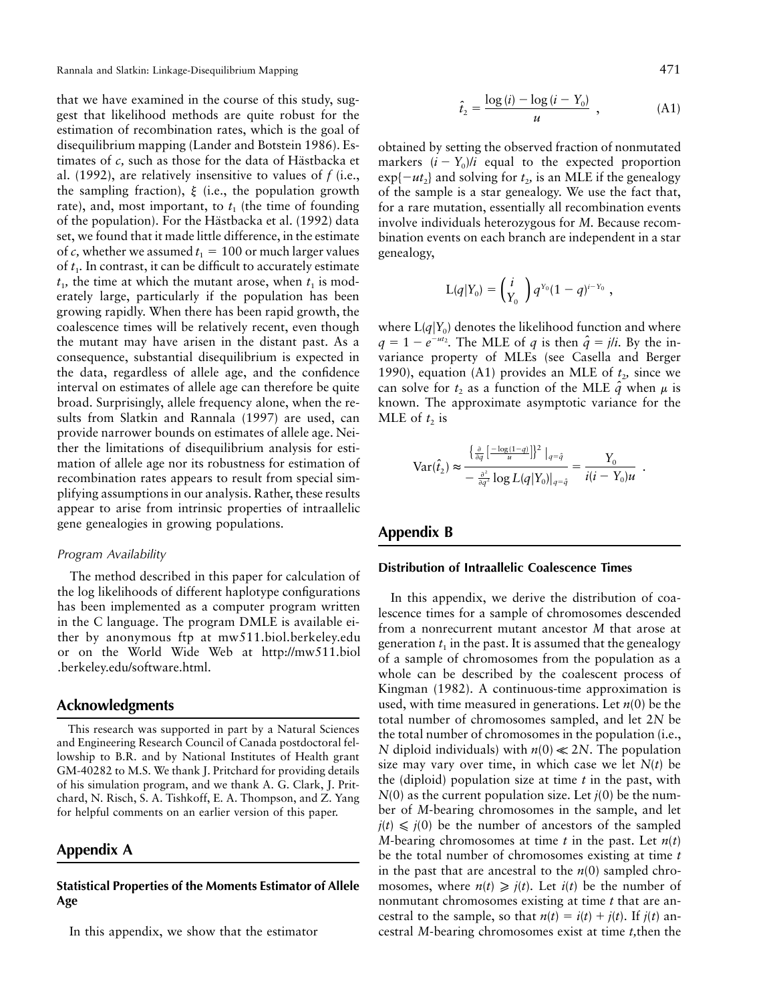Rannala and Slatkin: Linkage-Disequilibrium Mapping 471

that we have examined in the course of this study, suggest that likelihood methods are quite robust for the estimation of recombination rates, which is the goal of disequilibrium mapping (Lander and Botstein 1986). Estimates of *c*, such as those for the data of Hästbacka et al. (1992), are relatively insensitive to values of *f* (i.e., the sampling fraction),  $\xi$  (i.e., the population growth rate), and, most important, to  $t_1$  (the time of founding of the population). For the Hästbacka et al. (1992) data set, we found that it made little difference, in the estimate of *c*, whether we assumed  $t_1 = 100$  or much larger values of  $t_1$ . In contrast, it can be difficult to accurately estimate  $t_1$ , the time at which the mutant arose, when  $t_1$  is moderately large, particularly if the population has been growing rapidly. When there has been rapid growth, the coalescence times will be relatively recent, even though the mutant may have arisen in the distant past. As a consequence, substantial disequilibrium is expected in the data, regardless of allele age, and the confidence interval on estimates of allele age can therefore be quite broad. Surprisingly, allele frequency alone, when the results from Slatkin and Rannala (1997) are used, can provide narrower bounds on estimates of allele age. Neither the limitations of disequilibrium analysis for estimation of allele age nor its robustness for estimation of recombination rates appears to result from special simplifying assumptions in our analysis. Rather, these results appear to arise from intrinsic properties of intraallelic gene genealogies in growing populations.

#### *Program Availability*

The method described in this paper for calculation of the log likelihoods of different haplotype configurations has been implemented as a computer program written in the C language. The program DMLE is available either by anonymous ftp at mw511.biol.berkeley.edu or on the World Wide Web at http://mw511.biol .berkeley.edu/software.html.

## **Acknowledgments**

This research was supported in part by a Natural Sciences and Engineering Research Council of Canada postdoctoral fellowship to B.R. and by National Institutes of Health grant GM-40282 to M.S. We thank J. Pritchard for providing details of his simulation program, and we thank A. G. Clark, J. Pritchard, N. Risch, S. A. Tishkoff, E. A. Thompson, and Z. Yang for helpful comments on an earlier version of this paper.

## **Appendix A**

## **Statistical Properties of the Moments Estimator of Allele Age**

In this appendix, we show that the estimator

$$
\hat{t}_2 = \frac{\log(i) - \log(i - Y_0)}{u} \t{,} \t(A1)
$$

obtained by setting the observed fraction of nonmutated markers  $(i - Y_0)/i$  equal to the expected proportion  $exp{-u t_2}$  and solving for  $t_2$ , is an MLE if the genealogy of the sample is a star genealogy. We use the fact that, for a rare mutation, essentially all recombination events involve individuals heterozygous for *M.* Because recombination events on each branch are independent in a star genealogy,

$$
L(q|Y_0) = {i \choose Y_0} q^{Y_0} (1-q)^{i-Y_0},
$$

where  $L(q|Y_0)$  denotes the likelihood function and where  $q = 1 - e^{-ut_2}$ . The MLE of *q* is then  $\hat{q} = j/i$ . By the invariance property of MLEs (see Casella and Berger 1990), equation  $(A1)$  provides an MLE of  $t<sub>2</sub>$ , since we can solve for  $t_2$  as a function of the MLE  $\hat{q}$  when  $\mu$  is known. The approximate asymptotic variance for the MLE of  $t_2$  is

$$
\operatorname{Var}(\hat{t}_2) \approx \frac{\left\{\frac{\partial}{\partial q}\left[\frac{-\log(1-q)}{u}\right]\right\}^2\big|_{q=\hat{q}}}{-\frac{\partial^2}{\partial q^2}\log L(q|Y_0)|_{q=\hat{q}}} = \frac{Y_0}{i(i-Y_0)u}.
$$

# **Appendix B**

## **Distribution of Intraallelic Coalescence Times**

In this appendix, we derive the distribution of coalescence times for a sample of chromosomes descended from a nonrecurrent mutant ancestor *M* that arose at generation  $t_1$  in the past. It is assumed that the genealogy of a sample of chromosomes from the population as a whole can be described by the coalescent process of Kingman (1982). A continuous-time approximation is used, with time measured in generations. Let *n*(0) be the total number of chromosomes sampled, and let 2*N* be the total number of chromosomes in the population (i.e., *N* diploid individuals) with  $n(0) \ll 2N$ . The population size may vary over time, in which case we let  $N(t)$  be the (diploid) population size at time *t* in the past, with  $N(0)$  as the current population size. Let  $j(0)$  be the number of *M*-bearing chromosomes in the sample, and let  $j(t) \leq j(0)$  be the number of ancestors of the sampled *M*-bearing chromosomes at time *t* in the past. Let *n*(*t*) be the total number of chromosomes existing at time *t* in the past that are ancestral to the  $n(0)$  sampled chromosomes, where  $n(t) \geq j(t)$ . Let  $i(t)$  be the number of nonmutant chromosomes existing at time *t* that are ancestral to the sample, so that  $n(t) = i(t) + j(t)$ . If  $j(t)$  ancestral *M*-bearing chromosomes exist at time *t,*then the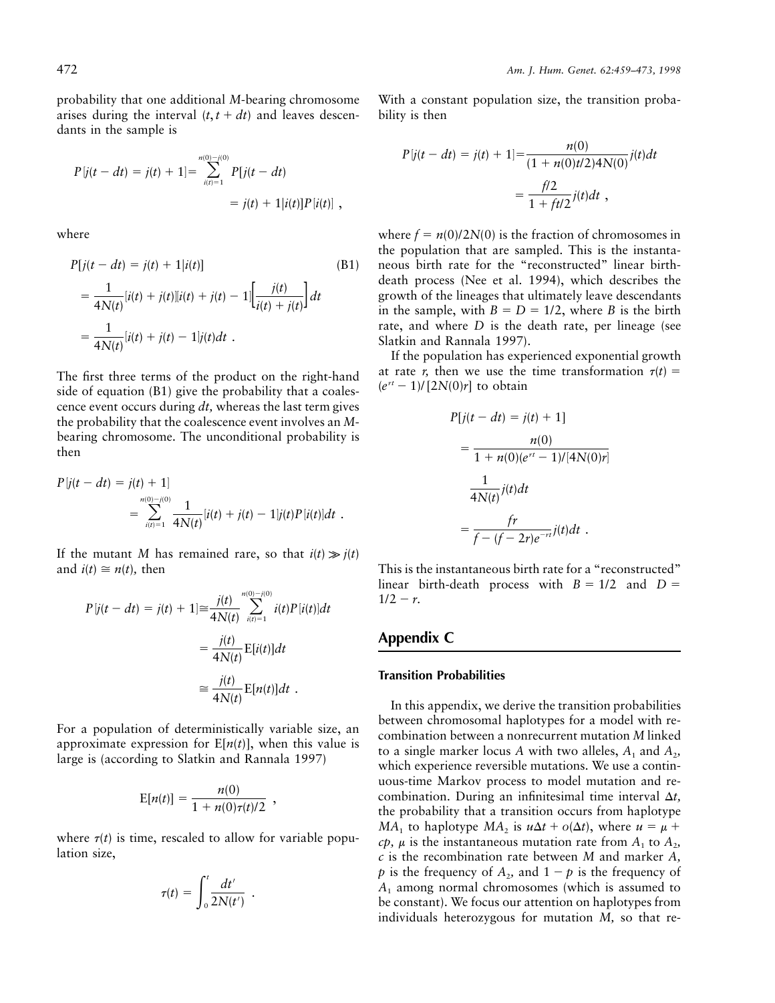probability that one additional *M*-bearing chromosome arises during the interval  $(t, t + dt)$  and leaves descendants in the sample is

$$
P[j(t - dt) = j(t) + 1] = \sum_{i(t) = 1}^{n(0) - j(0)} P[j(t - dt)]
$$
  
=  $j(t) + 1|i(t)|P[i(t)]$ ,

where

$$
P[j(t - dt) = j(t) + 1|i(t)]
$$
\n(B1)\n
$$
= \frac{1}{4N(t)}[i(t) + j(t)][i(t) + j(t) - 1][\frac{j(t)}{i(t) + j(t)}]dt
$$
\n
$$
= \frac{1}{4N(t)}[i(t) + j(t) - 1]j(t)dt.
$$

The first three terms of the product on the right-hand side of equation (B1) give the probability that a coalescence event occurs during *dt,* whereas the last term gives the probability that the coalescence event involves an *M*bearing chromosome. The unconditional probability is then

$$
P[j(t - dt) = j(t) + 1]
$$
  
= 
$$
\sum_{i(t) = 1}^{n(0) - j(0)} \frac{1}{4N(t)} [i(t) + j(t) - 1]j(t)P[i(t)]dt
$$
.

If the mutant *M* has remained rare, so that  $i(t) \gg j(t)$ and  $i(t) \approx n(t)$ , then

$$
P[j(t - dt) = j(t) + 1] \approx \frac{j(t)}{4N(t)} \sum_{i(t) = 1}^{n(0) - j(0)} i(t)P[i(t)]dt
$$

$$
= \frac{j(t)}{4N(t)} E[i(t)]dt
$$

$$
\approx \frac{j(t)}{4N(t)} E[n(t)]dt.
$$

For a population of deterministically variable size, an approximate expression for  $E[n(t)]$ , when this value is large is (according to Slatkin and Rannala 1997)

$$
E[n(t)] = \frac{n(0)}{1 + n(0)\tau(t)/2} \; ,
$$

where  $\tau(t)$  is time, rescaled to allow for variable population size,

$$
\tau(t) = \int_0^t \frac{dt'}{2N(t')} .
$$

With a constant population size, the transition probability is then

$$
P[j(t - dt) = j(t) + 1] = \frac{n(0)}{(1 + n(0)t/2)4N(0)}j(t)dt
$$

$$
= \frac{f/2}{1 + ft/2}j(t)dt,
$$

where  $f = n(0)/2N(0)$  is the fraction of chromosomes in the population that are sampled. This is the instantaneous birth rate for the "reconstructed" linear birthdeath process (Nee et al. 1994), which describes the growth of the lineages that ultimately leave descendants in the sample, with  $B = D = 1/2$ , where *B* is the birth rate, and where *D* is the death rate, per lineage (see Slatkin and Rannala 1997).

If the population has experienced exponential growth at rate *r*, then we use the time transformation  $\tau(t)$  =  $(e^{rt} - 1)/[2N(0)r]$  to obtain

$$
P[j(t - dt) = j(t) + 1]
$$
  
= 
$$
\frac{n(0)}{1 + n(0)(e^{rt} - 1)/[4N(0)r]}
$$
  

$$
\frac{1}{4N(t)}j(t)dt
$$
  
= 
$$
\frac{fr}{f - (f - 2r)e^{-rt}}j(t)dt.
$$

This is the instantaneous birth rate for a "reconstructed" linear birth-death process with  $B = 1/2$  and  $D =$  $1/2 - r$ .

# **Appendix C**

### **Transition Probabilities**

In this appendix, we derive the transition probabilities between chromosomal haplotypes for a model with recombination between a nonrecurrent mutation *M* linked to a single marker locus A with two alleles,  $A_1$  and  $A_2$ , which experience reversible mutations. We use a continuous-time Markov process to model mutation and recombination. During an infinitesimal time interval  $\Delta t$ , the probability that a transition occurs from haplotype *MA*<sub>1</sub> to haplotype  $MA_2$  is  $u\Delta t + o(\Delta t)$ , where  $u = \mu +$  $\mathcal{L}(p, \mu)$  is the instantaneous mutation rate from  $A_1$  to  $A_2$ , *c* is the recombination rate between *M* and marker *A, p* is the frequency of  $A_2$ , and  $1 - p$  is the frequency of *A*<sup>1</sup> among normal chromosomes (which is assumed to be constant). We focus our attention on haplotypes from individuals heterozygous for mutation *M,* so that re